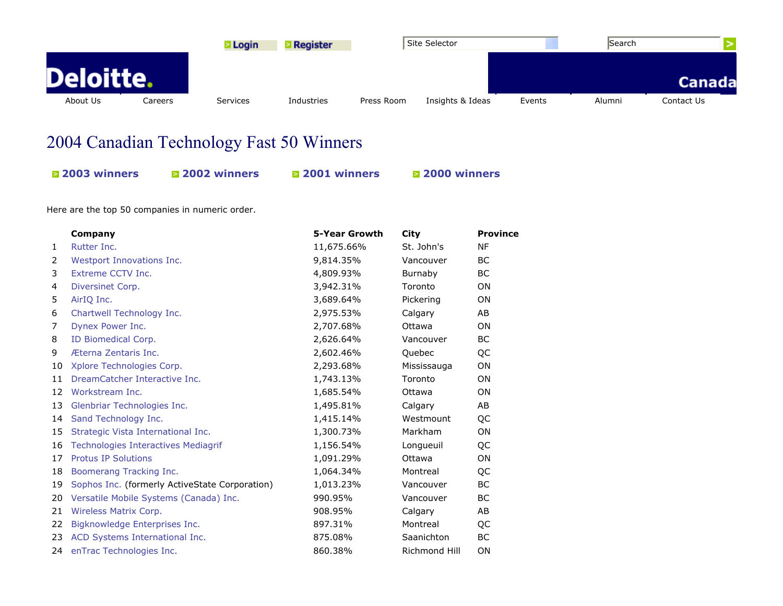

## 2004 Canadian Technology Fast 50 Winners

| <b><math>\blacksquare</math> 2003 winners</b> | <b>2002 winners</b> | <b><math>\blacksquare</math> 2001 winners</b> | <b>2000 winners</b> |
|-----------------------------------------------|---------------------|-----------------------------------------------|---------------------|
|                                               |                     |                                               |                     |

Here are the top 50 companies in numeric order.

|              | Company                                        | 5-Year Growth | City          | <b>Province</b> |
|--------------|------------------------------------------------|---------------|---------------|-----------------|
| $\mathbf{1}$ | Rutter Inc.                                    | 11,675.66%    | St. John's    | <b>NF</b>       |
| 2            | Westport Innovations Inc.                      | 9,814.35%     | Vancouver     | <b>BC</b>       |
| 3            | Extreme CCTV Inc.                              | 4,809.93%     | Burnaby       | <b>BC</b>       |
| 4            | Diversinet Corp.                               | 3,942.31%     | Toronto       | <b>ON</b>       |
| 5            | AirIQ Inc.                                     | 3,689.64%     | Pickering     | <b>ON</b>       |
| 6            | Chartwell Technology Inc.                      | 2,975.53%     | Calgary       | AB              |
| 7            | Dynex Power Inc.                               | 2,707.68%     | Ottawa        | <b>ON</b>       |
| 8            | ID Biomedical Corp.                            | 2,626.64%     | Vancouver     | ВC              |
| 9            | Æterna Zentaris Inc.                           | 2,602.46%     | Quebec        | QC              |
| 10           | Xplore Technologies Corp.                      | 2,293.68%     | Mississauga   | ON              |
| 11           | DreamCatcher Interactive Inc.                  | 1,743.13%     | Toronto       | <b>ON</b>       |
| 12           | Workstream Inc.                                | 1,685.54%     | Ottawa        | <b>ON</b>       |
| 13           | Glenbriar Technologies Inc.                    | 1,495.81%     | Calgary       | AB.             |
| 14           | Sand Technology Inc.                           | 1,415.14%     | Westmount     | QC              |
| 15           | Strategic Vista International Inc.             | 1,300.73%     | Markham       | ON              |
| 16           | <b>Technologies Interactives Mediagrif</b>     | 1,156.54%     | Longueuil     | QC              |
| 17           | <b>Protus IP Solutions</b>                     | 1,091.29%     | Ottawa        | <b>ON</b>       |
| 18           | Boomerang Tracking Inc.                        | 1,064.34%     | Montreal      | QC              |
| 19           | Sophos Inc. (formerly ActiveState Corporation) | 1,013.23%     | Vancouver     | <b>BC</b>       |
| 20           | Versatile Mobile Systems (Canada) Inc.         | 990.95%       | Vancouver     | <b>BC</b>       |
| 21           | Wireless Matrix Corp.                          | 908.95%       | Calgary       | AB              |
| 22           | Bigknowledge Enterprises Inc.                  | 897.31%       | Montreal      | QC              |
| 23           | ACD Systems International Inc.                 | 875.08%       | Saanichton    | <b>BC</b>       |
| 24           | enTrac Technologies Inc.                       | 860.38%       | Richmond Hill | ON              |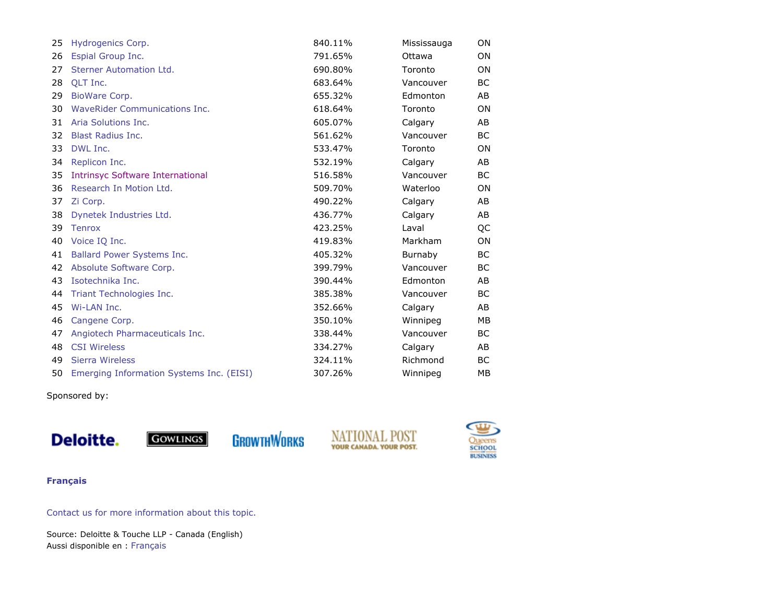| 25 | Hydrogenics Corp.                        | 840.11% | Mississauga | <b>ON</b> |
|----|------------------------------------------|---------|-------------|-----------|
| 26 | Espial Group Inc.                        | 791.65% | Ottawa      | ON        |
| 27 | Sterner Automation Ltd.                  | 690.80% | Toronto     | ON        |
| 28 | OLT Inc.                                 | 683.64% | Vancouver   | BС        |
| 29 | BioWare Corp.                            | 655.32% | Edmonton    | AB        |
| 30 | WaveRider Communications Inc.            | 618.64% | Toronto     | 0N        |
| 31 | Aria Solutions Inc.                      | 605.07% | Calgary     | AB        |
| 32 | <b>Blast Radius Inc.</b>                 | 561.62% | Vancouver   | BC        |
| 33 | DWL Inc.                                 | 533.47% | Toronto     | <b>ON</b> |
| 34 | Replicon Inc.                            | 532.19% | Calgary     | AB        |
| 35 | <b>Intrinsyc Software International</b>  | 516.58% | Vancouver   | <b>BC</b> |
| 36 | Research In Motion Ltd.                  | 509.70% | Waterloo    | <b>ON</b> |
| 37 | Zi Corp.                                 | 490.22% | Calgary     | AB        |
| 38 | Dynetek Industries Ltd.                  | 436.77% | Calgary     | AB        |
| 39 | <b>Tenrox</b>                            | 423.25% | Laval       | QC        |
| 40 | Voice IQ Inc.                            | 419.83% | Markham     | 0N        |
| 41 | Ballard Power Systems Inc.               | 405.32% | Burnaby     | BC.       |
| 42 | Absolute Software Corp.                  | 399.79% | Vancouver   | <b>BC</b> |
| 43 | Isotechnika Inc.                         | 390.44% | Edmonton    | AB        |
| 44 | Triant Technologies Inc.                 | 385.38% | Vancouver   | BC        |
| 45 | Wi-LAN Inc.                              | 352.66% | Calgary     | AB        |
| 46 | Cangene Corp.                            | 350.10% | Winnipeg    | MВ        |
| 47 | Angiotech Pharmaceuticals Inc.           | 338,44% | Vancouver   | ВC        |
| 48 | <b>CSI Wireless</b>                      | 334.27% | Calgary     | AB        |
| 49 | Sierra Wireless                          | 324.11% | Richmond    | BC        |
| 50 | Emerging Information Systems Inc. (EISI) | 307.26% | Winnipeg    | MВ        |

Sponsored by:



**GROWTHWORKS GOWLINGS** 





## **Français**

Contact us for more information about this topic.

Source: Deloitte & Touche LLP - Canada (English) Aussi disponible en : Français